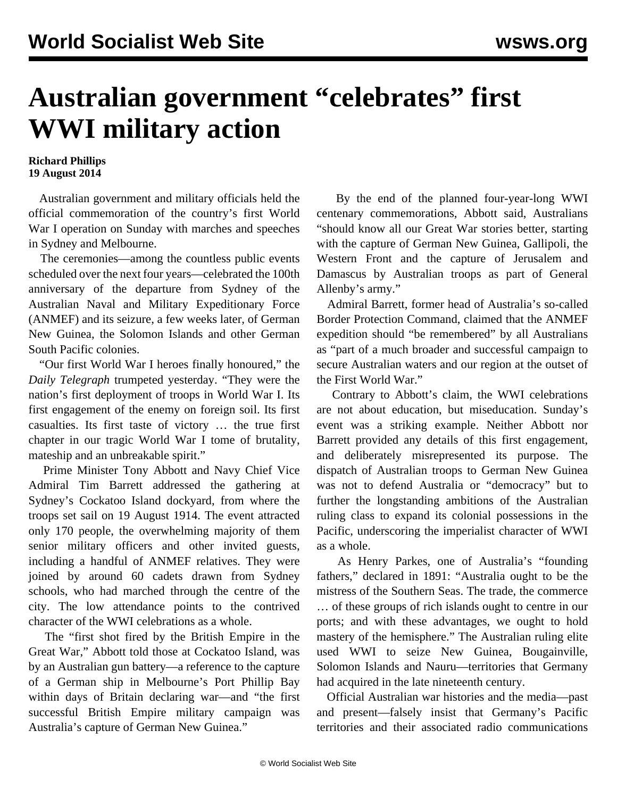## **Australian government "celebrates" first WWI military action**

## **Richard Phillips 19 August 2014**

 Australian government and military officials held the official commemoration of the country's first World War I operation on Sunday with marches and speeches in Sydney and Melbourne.

 The ceremonies—among the countless public events scheduled over the next four years—celebrated the 100th anniversary of the departure from Sydney of the Australian Naval and Military Expeditionary Force (ANMEF) and its seizure, a few weeks later, of German New Guinea, the Solomon Islands and other German South Pacific colonies.

 "Our first World War I heroes finally honoured," the *Daily Telegraph* trumpeted yesterday. "They were the nation's first deployment of troops in World War I. Its first engagement of the enemy on foreign soil. Its first casualties. Its first taste of victory … the true first chapter in our tragic World War I tome of brutality, mateship and an unbreakable spirit."

 Prime Minister Tony Abbott and Navy Chief Vice Admiral Tim Barrett addressed the gathering at Sydney's Cockatoo Island dockyard, from where the troops set sail on 19 August 1914. The event attracted only 170 people, the overwhelming majority of them senior military officers and other invited guests, including a handful of ANMEF relatives. They were joined by around 60 cadets drawn from Sydney schools, who had marched through the centre of the city. The low attendance points to the contrived character of the WWI celebrations as a whole.

 The "first shot fired by the British Empire in the Great War," Abbott told those at Cockatoo Island, was by an Australian gun battery—a reference to the capture of a German ship in Melbourne's Port Phillip Bay within days of Britain declaring war—and "the first successful British Empire military campaign was Australia's capture of German New Guinea."

 By the end of the planned four-year-long WWI centenary commemorations, Abbott said, Australians "should know all our Great War stories better, starting with the capture of German New Guinea, Gallipoli, the Western Front and the capture of Jerusalem and Damascus by Australian troops as part of General Allenby's army."

 Admiral Barrett, former head of Australia's so-called Border Protection Command, claimed that the ANMEF expedition should "be remembered" by all Australians as "part of a much broader and successful campaign to secure Australian waters and our region at the outset of the First World War."

 Contrary to Abbott's claim, the WWI celebrations are not about education, but miseducation. Sunday's event was a striking example. Neither Abbott nor Barrett provided any details of this first engagement, and deliberately misrepresented its purpose. The dispatch of Australian troops to German New Guinea was not to defend Australia or "democracy" but to further the longstanding ambitions of the Australian ruling class to expand its colonial possessions in the Pacific, underscoring the imperialist character of WWI as a whole.

 As Henry Parkes, one of Australia's "founding fathers," declared in 1891: "Australia ought to be the mistress of the Southern Seas. The trade, the commerce … of these groups of rich islands ought to centre in our ports; and with these advantages, we ought to hold mastery of the hemisphere." The Australian ruling elite used WWI to seize New Guinea, Bougainville, Solomon Islands and Nauru—territories that Germany had acquired in the late nineteenth century.

 Official Australian war histories and the media—past and present—falsely insist that Germany's Pacific territories and their associated radio communications